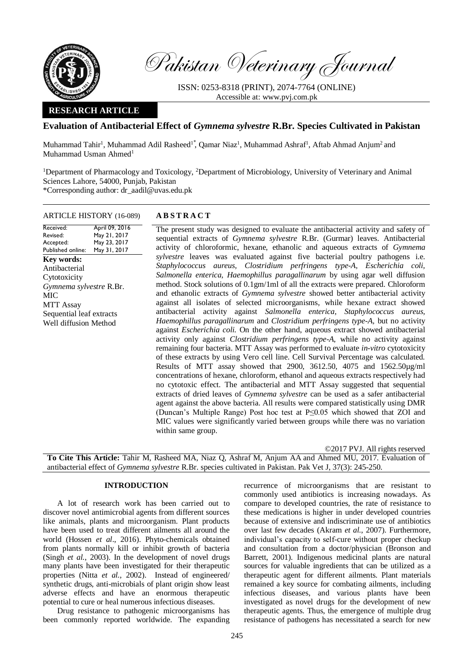

Pakistan Veterinary Journal

ISSN: 0253-8318 (PRINT), 2074-7764 (ONLINE) Accessible at: [www.pvj.com.pk](http://www.pvj.com.pk/)

## **RESEARCH ARTICLE**

# **Evaluation of Antibacterial Effect of** *Gymnema sylvestre* **R.Br. Species Cultivated in Pakistan**

Muhammad Tahir<sup>1</sup>, Muhammad Adil Rasheed<sup>1</sup>, Qamar Niaz<sup>1</sup>, Muhammad Ashraf<sup>1</sup>, Aftab Ahmad Anjum<sup>2</sup> and Muhammad Usman Ahmed<sup>1</sup>

<sup>1</sup>Department of Pharmacology and Toxicology, <sup>2</sup>Department of Microbiology, University of Veterinary and Animal Sciences Lahore, 54000, Punjab, Pakistan \*Corresponding author: dr\_aadil@uvas.edu.pk

## ARTICLE HISTORY (16-089) **A B S T R A C T**

Received: Revised: Accepted: Published online: April 09, 2016 May 21, 2017 May 23, 2017 May 31, 2017

**Key words:**  Antibacterial Cytotoxicity *Gymnema sylvestre* R.Br. MIC MTT Assay Sequential leaf extracts Well diffusion Method

The present study was designed to evaluate the antibacterial activity and safety of sequential extracts of *Gymnema sylvestre* R.Br. (Gurmar) leaves. Antibacterial activity of chloroformic, hexane, ethanolic and aqueous extracts of *Gymnema sylvestre* leaves was evaluated against five bacterial poultry pathogens i.e. *Staphylococcus aureus, Clostridium perfringens type-A, Escherichia coli, Salmonella enterica, Haemophillus paragallinarum* by using agar well diffusion method. Stock solutions of 0.1gm/1ml of all the extracts were prepared. Chloroform and ethanolic extracts of *Gymnema sylvestre* showed better antibacterial activity against all isolates of selected microorganisms, while hexane extract showed antibacterial activity against *Salmonella enterica, Staphylococcus aureus, Haemophillus paragallinarum* and *Clostridium perfringens type-A,* but no activity against *Escherichia coli.* On the other hand, aqueous extract showed antibacterial activity only against *Clostridium perfringens type-A,* while no activity against remaining four bacteria. MTT Assay was performed to evaluate *in-vitro* cytotoxicity of these extracts by using Vero cell line. Cell Survival Percentage was calculated. Results of MTT assay showed that 2900, 3612.50, 4075 and 1562.50µg/ml concentrations of hexane, chloroform, ethanol and aqueous extracts respectively had no cytotoxic effect. The antibacterial and MTT Assay suggested that sequential extracts of dried leaves of *Gymnema sylvestre* can be used as a safer antibacterial agent against the above bacteria. All results were compared statistically using DMR (Duncan's Multiple Range) Post hoc test at P≤0.05 which showed that ZOI and MIC values were significantly varied between groups while there was no variation within same group.

©2017 PVJ. All rights reserved

**To Cite This Article:** Tahir M, Rasheed MA, Niaz Q, Ashraf M, Anjum AA and Ahmed MU, 2017. Evaluation of antibacterial effect of *Gymnema sylvestre* R.Br. species cultivated in Pakistan. Pak Vet J, 37(3): 245-250.

#### **INTRODUCTION**

A lot of research work has been carried out to discover novel antimicrobial agents from different sources like animals, plants and microorganism. Plant products have been used to treat different ailments all around the world (Hossen *et al*., 2016). Phyto-chemicals obtained from plants normally kill or inhibit growth of bacteria (Singh *et al.*, 2003). In the development of novel drugs many plants have been investigated for their therapeutic properties (Nitta *et al.*, 2002). Instead of engineered/ synthetic drugs, anti-microbials of plant origin show least adverse effects and have an enormous therapeutic potential to cure or heal numerous infectious diseases.

Drug resistance to pathogenic microorganisms has been commonly reported worldwide. The expanding recurrence of microorganisms that are resistant to commonly used antibiotics is increasing nowadays. As compare to developed countries, the rate of resistance to these medications is higher in under developed countries because of extensive and indiscriminate use of antibiotics over last few decades (Akram *et al.*, 2007). Furthermore, individual's capacity to self-cure without proper checkup and consultation from a doctor/physician (Bronson and Barrett, 2001). Indigenous medicinal plants are natural sources for valuable ingredients that can be utilized as a therapeutic agent for different ailments. Plant materials remained a key source for combating ailments, including infectious diseases, and various plants have been investigated as novel drugs for the development of new therapeutic agents. Thus, the emergence of multiple drug resistance of pathogens has necessitated a search for new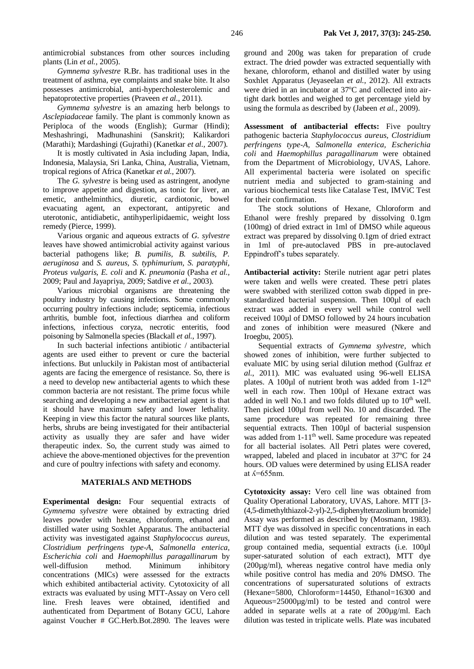*Gymnema sylvestre* R.Br. has traditional uses in the treatment of asthma, eye complaints and snake bite. It also possesses antimicrobial, anti-hypercholesterolemic and hepatoprotective properties (Praveen *et al.,* 2011).

*Gymnema sylvestre* is an amazing herb belongs to *Asclepiadaceae* family. The plant is commonly known as Periploca of the woods (English); Gurmar (Hindi); Meshashringi, Madhunashini (Sanskrit); Kalikardori (Marathi); Mardashingi (Gujrathi) (Kanetkar *et al.,* 2007).

It is mostly cultivated in Asia including Japan, India, Indonesia, Malaysia, Sri Lanka, China, Australia, Vietnam, tropical regions of Africa (Kanetkar *et al.,* 2007).

The *G. sylvestre* is being used as astringent, anodyne to improve appetite and digestion, as tonic for liver, an emetic, anthelminthics, diuretic, cardiotonic, bowel evacuating agent, an expectorant, antipyretic and uterotonic, antidiabetic, antihyperlipidaemic, weight loss remedy (Pierce, 1999).

Various organic and aqueous extracts of *G. sylvestre* leaves have showed antimicrobial activity against various bacterial pathogens like; *B. pumilis, B. subtilis, P. aeruginosa* and *S. aureus, S. typhimurium, S. paratyphi, Proteus vulgaris, E. coli* and *K. pneumonia* (Pasha *et al.,* 2009; Paul and Jayapriya, 2009; Satdive *et al.,* 2003).

Various microbial organisms are threatening the poultry industry by causing infections. Some commonly occurring poultry infections include; septicemia, infectious arthritis, bumble foot*,* infectious diarrhea and coliform infections, infectious coryza, necrotic enteritis, food poisoning by Salmonella species (Blackall *et al.*, 1997).

In such bacterial infections antibiotic / antibacterial agents are used either to prevent or cure the bacterial infections. But unluckily in Pakistan most of antibacterial agents are facing the emergence of resistance. So, there is a need to develop new antibacterial agents to which these common bacteria are not resistant. The prime focus while searching and developing a new antibacterial agent is that it should have maximum safety and lower lethality. Keeping in view this factor the natural sources like plants, herbs, shrubs are being investigated for their antibacterial activity as usually they are safer and have wider therapeutic index. So, the current study was aimed to achieve the above-mentioned objectives for the prevention and cure of poultry infections with safety and economy.

## **MATERIALS AND METHODS**

**Experimental design:** Four sequential extracts of *Gymnema sylvestre* were obtained by extracting dried leaves powder with hexane, chloroform, ethanol and distilled water using Soxhlet Apparatus. The antibacterial activity was investigated against *Staphylococcus aureus, Clostridium perfringens type-A*, *Salmonella enterica, Escherichia coli* and *Haemophillus paragallinarum* by well-diffusion method. Minimum inhibitory concentrations (MICs) were assessed for the extracts which exhibited antibacterial activity. Cytotoxicity of all extracts was evaluated by using MTT-Assay on Vero cell line. Fresh leaves were obtained, identified and authenticated from Department of Botany GCU, Lahore against Voucher # GC.Herb.Bot.2890. The leaves were

ground and 200g was taken for preparation of crude extract. The dried powder was extracted sequentially with hexane, chloroform, ethanol and distilled water by using Soxhlet Apparatus (Jeyaseelan *et al.*, 2012). All extracts were dried in an incubator at 37°C and collected into airtight dark bottles and weighed to get percentage yield by using the formula as described by (Jabeen *et al.*, 2009).

**Assessment of antibacterial effects:** Five poultry pathogenic bacteria *Staphylococcus aureus, Clostridium perfringens type-A, Salmonella enterica, Escherichia coli* and *Haemophillus paragallinarum* were obtained from the Department of Microbiology, UVAS, Lahore. All experimental bacteria were isolated on specific nutrient media and subjected to gram-staining and various biochemical tests like Catalase Test, IMViC Test for their confirmation.

The stock solutions of Hexane, Chloroform and Ethanol were freshly prepared by dissolving 0.1gm (100mg) of dried extract in 1ml of DMSO while aqueous extract was prepared by dissolving 0.1gm of dried extract in 1ml of pre-autoclaved PBS in pre-autoclaved Eppindroff's tubes separately.

**Antibacterial activity:** Sterile nutrient agar petri plates were taken and wells were created. These petri plates were swabbed with sterilized cotton swab dipped in prestandardized bacterial suspension. Then 100µl of each extract was added in every well while control well received 100µl of DMSO followed by 24 hours incubation and zones of inhibition were measured (Nkere and Iroegbu, 2005).

Sequential extracts of *Gymnema sylvestre,* which showed zones of inhibition, were further subjected to evaluate MIC by using serial dilution method (Gulfraz *et al.*, 2011). MIC was evaluated using 96-well ELISA plates. A 100 $\mu$ l of nutrient broth was added from 1-12<sup>th</sup> well in each row. Then 100µl of Hexane extract was added in well No.1 and two folds diluted up to  $10<sup>th</sup>$  well. Then picked 100µl from well No. 10 and discarded. The same procedure was repeated for remaining three sequential extracts. Then 100 $\mu$ l of bacterial suspension was added from 1-11<sup>th</sup> well. Same procedure was repeated for all bacterial isolates. All Petri plates were covered, wrapped, labeled and placed in incubator at 37ºC for 24 hours. OD values were determined by using ELISA reader at ʎ=655nm.

**Cytotoxicity assay:** Vero cell line was obtained from Quality Operational Laboratory, UVAS, Lahore. MTT [3- (4,5-dimethylthiazol-2-yl)-2,5-diphenyltetrazolium bromide] Assay was performed as described by (Mosmann, 1983). MTT dye was dissolved in specific concentrations in each dilution and was tested separately. The experimental group contained media, sequential extracts (i.e. 100µl super-saturated solution of each extract), MTT dye (200µg/ml), whereas negative control have media only while positive control has media and 20% DMSO. The concentrations of supersaturated solutions of extracts (Hexane=5800, Chloroform=14450, Ethanol=16300 and Aqueous=25000µg/ml) to be tested and control were added in separate wells at a rate of 200µg/ml. Each dilution was tested in triplicate wells. Plate was incubated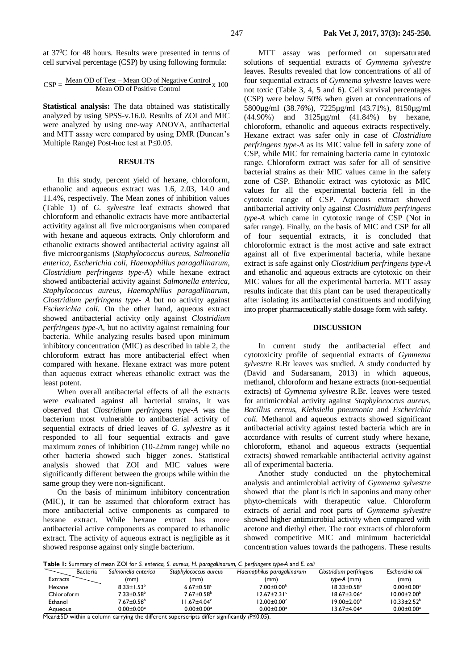at 37<sup>0</sup>C for 48 hours. Results were presented in terms of cell survival percentage (CSP) by using following formula:

$$
CSP = \frac{Mean OD \ of \ Test - Mean OD \ of \ Negative \ Control}{Mean OD \ of \ Positive \ Control} \times 100
$$

**Statistical analysis:** The data obtained was statistically analyzed by using SPSS-v.16.0. Results of ZOI and MIC were analyzed by using one-way ANOVA, antibacterial and MTT assay were compared by using DMR (Duncan's Multiple Range) Post-hoc test at P≤0.05.

### **RESULTS**

In this study, percent yield of hexane, chloroform, ethanolic and aqueous extract was 1.6, 2.03, 14.0 and 11.4%, respectively. The Mean zones of inhibition values (Table 1) of *G. sylvestre* leaf extracts showed that chloroform and ethanolic extracts have more antibacterial activitity against all five microorganisms when compared with hexane and aqueous extracts. Only chloroform and ethanolic extracts showed antibacterial activity against all five microorganisms (*Staphylococcus aureus, Salmonella enterica, Escherichia coli, Haemophillus paragallinarum, Clostridium perfringens type-A*) while hexane extract showed antibacterial activity against *Salmonella enterica, Staphylococcus aureus, Haemophillus paragallinarum, Clostridium perfringens type- A* but no activity against *Escherichia coli.* On the other hand, aqueous extract showed antibacterial activity only against *Clostridium perfringens type-A,* but no activity against remaining four bacteria. While analyzing results based upon minimum inhibitory concentration (MIC) as described in table 2, the chloroform extract has more antibacterial effect when compared with hexane. Hexane extract was more potent than aqueous extract whereas ethanolic extract was the least potent.

When overall antibacterial effects of all the extracts were evaluated against all bacterial strains, it was observed that *Clostridium perfringens type-A* was the bacterium most vulnerable to antibacterial activity of sequential extracts of dried leaves of *G. sylvestre* as it responded to all four sequential extracts and gave maximum zones of inhibition (10-22mm range) while no other bacteria showed such bigger zones. Statistical analysis showed that ZOI and MIC values were significantly different between the groups while within the same group they were non-significant.

On the basis of minimum inhibitory concentration (MIC), it can be assumed that chloroform extract has more antibacterial active components as compared to hexane extract. While hexane extract has more antibacterial active components as compared to ethanolic extract. The activity of aqueous extract is negligible as it showed response against only single bacterium.

MTT assay was performed on supersaturated solutions of sequential extracts of *Gymnema sylvestre*  leaves*.* Results revealed that low concentrations of all of four sequential extracts of *Gymnema sylvestre* leaves were not toxic (Table 3, 4, 5 and 6). Cell survival percentages (CSP) were below 50% when given at concentrations of 5800µg/ml (38.76%), 7225µg/ml (43.71%), 8150µg/ml (44.90%) and 3125µg/ml (41.84%) by hexane, chloroform, ethanolic and aqueous extracts respectively. Hexane extract was safer only in case of *Clostridium perfringens type-A* as its MIC value fell in safety zone of CSP, while MIC for remaining bacteria came in cytotoxic range. Chloroform extract was safer for all of sensitive bacterial strains as their MIC values came in the safety zone of CSP. Ethanolic extract was cytotoxic as MIC values for all the experimental bacteria fell in the cytotoxic range of CSP. Aqueous extract showed antibacterial activity only against *Clostridium perfringens type-A* which came in cytotoxic range of CSP (Not in safer range). Finally, on the basis of MIC and CSP for all of four sequential extracts, it is concluded that chloroformic extract is the most active and safe extract against all of five experimental bacteria, while hexane extract is safe against only *Clostridium perfringens type-A*  and ethanolic and aqueous extracts are cytotoxic on their MIC values for all the experimental bacteria. MTT assay results indicate that this plant can be used therapeutically after isolating its antibacterial constituents and modifying into proper pharmaceutically stable dosage form with safety.

### **DISCUSSION**

In current study the antibacterial effect and cytotoxicity profile of sequential extracts of *Gymnema sylvestre* R.Br leaves was studied. A study conducted by (David and Sudarsanam, 2013) in which aqueous, methanol, chloroform and hexane extracts (non-sequential extracts) of *Gymnema sylvestre* R.Br. leaves were tested for antimicrobial activity against *Staphylococcus aureus, Bacillus cereus, Klebsiella pneumonia* and *Escherichia coli.* Methanol and aqueous extracts showed significant antibacterial activity against tested bacteria which are in accordance with results of current study where hexane, chloroform, ethanol and aqueous extracts (sequential extracts) showed remarkable antibacterial activity against all of experimental bacteria.

Another study conducted on the phytochemical analysis and antimicrobial activity of *Gymnema sylvestre* showed that the plant is rich in saponins and many other phyto-chemicals with therapeutic value. Chloroform extracts of aerial and root parts of *Gymnema sylvestre*  showed higher antimicrobial activity when compared with acetone and diethyl ether. The root extracts of chloroform showed competitive MIC and minimum bactericidal concentration values towards the pathogens. These results

**Table 1:** Summary of mean ZOI for *S. enterica, S. aureus, H. paragallinarum, C. perfringens type-A* and *E. coli*

| Bacteria   | Salmonella enterica          | Stabhylococcus aureus         | Haemophilus paragallinarum   | Clostridium perfringens  | Escherichia coli             |
|------------|------------------------------|-------------------------------|------------------------------|--------------------------|------------------------------|
| Extracts   | (mm)                         | (mm)                          | (mm)                         | tybe-A (mm)              | (mm)                         |
| Hexane     | $8.33 \pm 1.53^b$            | $6.67 \pm 0.58$ °             | 7.00±0.00 <sup>b</sup>       | $18.33 \pm 0.58^{\circ}$ | $0.00 \pm 0.00$ <sup>a</sup> |
| Chloroform | $7.33 \pm 0.58^{\circ}$      | $7.67 \pm 0.58$ <sup>b</sup>  | $12.67 \pm 2.31$ °           | $18.67 \pm 3.06^a$       | $10.00 \pm 2.00^{\circ}$     |
| Ethanol    | $7.67 \pm 0.58$ <sup>b</sup> | $11.67 \pm 4.04$ <sup>c</sup> | l 2.00 $\pm$ 0.00 $^{\circ}$ | $19.00 \pm 2.00^a$       | $10.33 + 2.52^b$             |
| Aaueous    | $0.00 \pm 0.00^\mathrm{a}$   | $0.00 \pm 0.00$ <sup>a</sup>  | $0.00 \pm 0.00$ <sup>a</sup> | $13.67 \pm 4.04^a$       | $0.00 \pm 0.00^a$            |
|            |                              |                               |                              |                          |                              |

Mean±SD within a column carrying the different superscripts differ significantly (P≤0.05).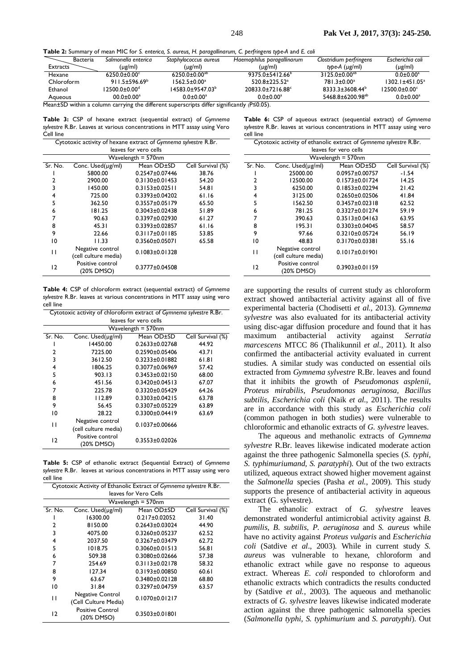**Table 2:** Summary of mean MIC for *S. enterica, S. aureus, H. paragallinarum, C. perfringens type-A* and *E. coli*

| Bacteria   | Salmonella enterica          | Stabhylococcus aureus | Haemophilus paragallinarum | Clostridium perfringens     | Escherichia coli |
|------------|------------------------------|-----------------------|----------------------------|-----------------------------|------------------|
| Extracts   | (µg/ml)                      | (µg/ml)               | (µg/ml)                    | type-A $(\mu g/ml)$         | $(\mu$ g/ml)     |
| Hexane     | $6250.0 + 0.00^{\circ}$      | $6250.0 + 0.00^{ab}$  | $9375.0 + 5412.66^b$       | $3125.0 + 0.00^{ab}$        | $0.0 \pm 0.00^a$ |
| Chloroform | $911.5 \pm 596.69^{\circ}$   | $1562.5 + 0.00a$      | $520.8+225.52^a$           | 781.3+0.00 <sup>a</sup>     | 1302.1±451.05ª   |
| Ethanol    | 12500.0+0.00 <sup>d</sup>    | l 4583.0±9547.03ʰ     | 20833.0+7216.88°           | 8333.3+3608.44 <sup>b</sup> | 12500.0+0.00°    |
| Aaueous    | $00.0 \pm 0.00$ <sup>a</sup> | $0.0 + 0.00^a$        | $0.0 + 0.00^a$             | $5468.8 + 6200.98^{ab}$     | $0.0 + 0.00^a$   |

Mean±SD within a column carrying the different superscripts differ significantly (P≤0.05).

**Table 3:** CSP of hexane extract (sequential extract) of *Gymnema sylvestre* R.Br. Leaves at various concentrations in MTT assay using Vero Cell line

| Cytotoxic activity of hexane extract of Gymnema sylvestre R.Br. |                                          |                      |                   |  |
|-----------------------------------------------------------------|------------------------------------------|----------------------|-------------------|--|
| leaves for vero cells                                           |                                          |                      |                   |  |
|                                                                 |                                          | Wavelength $=$ 570nm |                   |  |
| Sr. No.                                                         | Conc. Used(µg/ml)                        | Mean OD±SD           | Cell Survival (%) |  |
|                                                                 | 5800.00                                  | $0.2547 \pm 0.07446$ | 38.76             |  |
| 2                                                               | 2900.00                                  | $0.3130\pm0.01453$   | 54.20             |  |
| 3                                                               | 1450.00                                  | $0.3153 \pm 0.02511$ | 54.81             |  |
| 4                                                               | 725.00                                   | $0.3393 \pm 0.04202$ | 61.16             |  |
| 5                                                               | 362.50                                   | $0.3557 \pm 0.05179$ | 65.50             |  |
| 6                                                               | 181.25                                   | $0.3043 \pm 0.02438$ | 51.89             |  |
| 7                                                               | 90.63                                    | $0.3397 \pm 0.02930$ | 61.27             |  |
| 8                                                               | 45.31                                    | $0.3393 \pm 0.02857$ | 61.16             |  |
| 9                                                               | 22.66                                    | $0.3117 \pm 0.01185$ | 53.85             |  |
| 10                                                              | 11.33                                    | $0.3560 \pm 0.05071$ | 65.58             |  |
| п                                                               | Negative control<br>(cell culture media) | $0.1083 \pm 0.01328$ |                   |  |
| 12                                                              | Positive control<br>(20% DMSO)           | $0.3777 \pm 0.04508$ |                   |  |

**Table 4:** CSP of chloroform extract (sequential extract) of *Gymnema sylvestre* R.Br. leaves at various concentrations in MTT assay using vero cell line

| Cytotoxic activity of chloroform extract of Gymnema sylvestre R.Br. |                      |                      |                   |  |
|---------------------------------------------------------------------|----------------------|----------------------|-------------------|--|
| leaves for vero cells                                               |                      |                      |                   |  |
|                                                                     |                      | Wavelength $=$ 570nm |                   |  |
| Sr. No.                                                             | Conc. Used(µg/ml)    | Mean OD±SD           | Cell Survival (%) |  |
|                                                                     | 14450.00             | $0.2633 \pm 0.02768$ | 44.92             |  |
| 2                                                                   | 7225.00              | $0.2590 \pm 0.05406$ | 43.71             |  |
| 3                                                                   | 3612.50              | $0.3233 \pm 0.01882$ | 61.81             |  |
| 4                                                                   | 1806.25              | $0.3077 + 0.06969$   | 57.42             |  |
| 5                                                                   | 903.13               | $0.3453 \pm 0.02150$ | 68.00             |  |
| 6                                                                   | 451.56               | $0.3420 \pm 0.04513$ | 67.07             |  |
| 7                                                                   | 225.78               | $0.3320 \pm 0.05429$ | 64.26             |  |
| 8                                                                   | 112.89               | $0.3303 \pm 0.04215$ | 63.78             |  |
| 9                                                                   | 56.45                | $0.3307 \pm 0.05229$ | 63.89             |  |
| 10                                                                  | 28.22                | $0.3300 \pm 0.04419$ | 63.69             |  |
| п                                                                   | Negative control     | $0.1037\pm0.00666$   |                   |  |
|                                                                     | (cell culture media) |                      |                   |  |
| 12                                                                  | Positive control     | $0.3553 \pm 0.02026$ |                   |  |
|                                                                     | (20% DMSO)           |                      |                   |  |

**Table 5:** CSP of ethanolic extract (Sequential Extract) of *Gymnema sylvestre* R.Br. leaves at various concentrations in MTT assay using vero cell line

| Cytotoxic Activity of Ethanolic Extract of Gymnema sylvestre R.Br. |                         |                      |                   |  |
|--------------------------------------------------------------------|-------------------------|----------------------|-------------------|--|
| leaves for Vero Cells                                              |                         |                      |                   |  |
|                                                                    |                         | Wavelength $=$ 570nm |                   |  |
| Sr. No.                                                            | Conc. Used(µg/ml)       | Mean OD±SD           | Cell Survival (%) |  |
|                                                                    | 16300.00                | $0.217 \pm 0.02052$  | 31.40             |  |
| 2                                                                  | 8150.00                 | $0.2643 \pm 0.03024$ | 44.90             |  |
| 3                                                                  | 4075.00                 | $0.3260 \pm 0.05237$ | 62.52             |  |
| 4                                                                  | 2037.50                 | $0.3267 \pm 0.03479$ | 62.72             |  |
| 5                                                                  | 1018.75                 | $0.3060 \pm 0.01513$ | 56.81             |  |
| 6                                                                  | 509.38                  | $0.3080 \pm 0.02666$ | 57.38             |  |
| 7                                                                  | 254.69                  | $0.3113 \pm 0.02178$ | 58.32             |  |
| 8                                                                  | 127.34                  | $0.3193 \pm 0.00850$ | 60.61             |  |
| 9                                                                  | 63.67                   | $0.3480 \pm 0.02128$ | 68.80             |  |
| 10                                                                 | 31.84                   | $0.3297 \pm 0.04759$ | 63.57             |  |
| п                                                                  | <b>Negative Control</b> | $0.1070\pm0.01217$   |                   |  |
|                                                                    | (Cell Culture Media)    |                      |                   |  |
| 12                                                                 | <b>Positive Control</b> | $0.3503 \pm 0.01801$ |                   |  |
|                                                                    | (20% DMSO)              |                      |                   |  |

**Table 6:** CSP of aqueous extract (sequential extract) of *Gymnema sylvestre* R.Br. leaves at various concentrations in MTT assay using vero cell line

| Cytotoxic activity of ethanolic extract of Gymnema sylvestre R.Br. |                                          |                      |                   |  |
|--------------------------------------------------------------------|------------------------------------------|----------------------|-------------------|--|
| leaves for vero cells                                              |                                          |                      |                   |  |
|                                                                    |                                          | Wavelength = 570nm   |                   |  |
| Sr. No.                                                            | Conc. Used(µg/ml)                        | Mean OD±SD           | Cell Survival (%) |  |
|                                                                    | 25000.00                                 | $0.0957 \pm 0.00757$ | $-1.54$           |  |
| 2                                                                  | 12500.00                                 | $0.1573 \pm 0.01724$ | 14.25             |  |
| 3                                                                  | 6250.00                                  | $0.1853 \pm 0.02294$ | 21.42             |  |
| 4                                                                  | 3125.00                                  | $0.2650 \pm 0.02506$ | 41.84             |  |
| 5                                                                  | 1562.50                                  | $0.3457 \pm 0.02318$ | 62.52             |  |
| 6                                                                  | 781.25                                   | $0.3327 \pm 0.01274$ | 59.19             |  |
| 7                                                                  | 390.63                                   | $0.3513 \pm 0.04163$ | 63.95             |  |
| 8                                                                  | 195.31                                   | $0.3303 \pm 0.04045$ | 58.57             |  |
| 9                                                                  | 97.66                                    | $0.3210 \pm 0.05724$ | 56.19             |  |
| 10                                                                 | 48.83                                    | 0.3170±0.03381       | 55.16             |  |
| $\mathbf{1}$                                                       | Negative control<br>(cell culture media) | $0.1017\pm0.01901$   |                   |  |
| 12                                                                 | Positive control<br>(20% DMSO)           | $0.3903\pm0.01159$   |                   |  |

are supporting the results of current study as chloroform extract showed antibacterial activity against all of five experimental bacteria (Chodisetti *et al.,* 2013). *Gymnema sylvestre* was also evaluated for its antibacterial activity using disc-agar diffusion procedure and found that it has maximum antibacterial activity against *Serratia marcescens* MTCC 86 (Thalikunnil *et al.,* 2011). It also confirmed the antibacterial activity evaluated in current studies. A similar study was conducted on essential oils extracted from *Gymnema sylvestre* R.Br. leaves and found that it inhibits the growth of *Pseudomonas asplenii, Proteus mirabilis, Pseudomonas aeruginosa, Bacillus subtilis, Escherichia coli* (Naik *et al.*, 2011). The results are in accordance with this study as *Escherichia coli*  (common pathogen in both studies) were vulnerable to chloroformic and ethanolic extracts of *G. sylvestre* leaves.

The aqueous and methanolic extracts of *Gymnema sylvestre* R.Br. leaves likewise indicated moderate action against the three pathogenic Salmonella species (*S. typhi, S. typhimuriumand, S. paratyphi*). Out of the two extracts utilized, aqueous extract showed higher movement against the *Salmonella* species (Pasha *et al.*, 2009). This study supports the presence of antibacterial activity in aqueous extract (G. sylvestre).

The ethanolic extract of *G. sylvestre* leaves demonstrated wonderful antimicrobial activity against *B. pumilis, B. subtilis, P. aeruginosa* and *S. aureus* while have no activity against *Proteus vulgaris* and *Escherichia coli* (Satdive *et al*., 2003)*.* While in current study *S. aureus* was vulnerable to hexane, chloroform and ethanolic extract while gave no response to aqueous extract. Whereas *E. coli* responded to chloroform and ethanolic extracts which contradicts the results conducted by (Satdive *et al.,* 2003)*.* The aqueous and methanolic extracts of *G. sylvestre* leaves likewise indicated moderate action against the three pathogenic salmonella species (*Salmonella typhi, S. typhimurium* and *S. paratyphi*). Out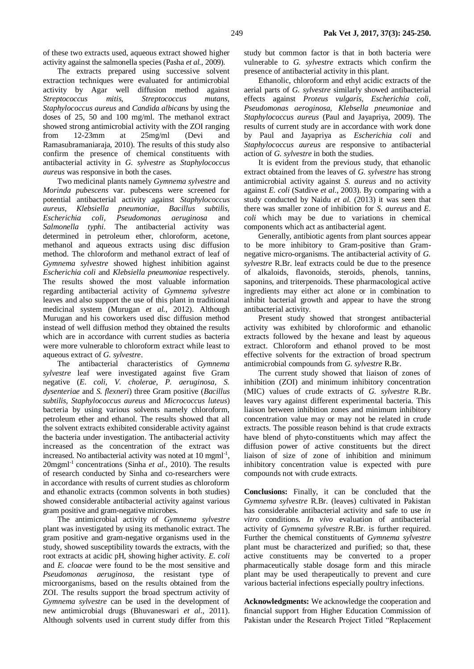of these two extracts used, aqueous extract showed higher activity against the salmonella species (Pasha *et al.,* 2009).

The extracts prepared using successive solvent extraction techniques were evaluated for antimicrobial activity by Agar well diffusion method against *Streptococcus mitis, Streptococcus mutans, Staphylococcus aureus* and *Candida albicans* by using the doses of 25, 50 and 100 mg/ml. The methanol extract showed strong antimicrobial activity with the ZOI ranging from 12-23mm at 25mg/ml (Devi and Ramasubramaniaraja, 2010). The results of this study also confirm the presence of chemical constituents with antibacterial activity in *G. sylvestre* as *Staphylococcus aureus* was responsive in both the cases.

Two medicinal plants namely *Gymnema sylvestre* and *Morinda pubescens* var. pubescens were screened for potential antibacterial activity against *Staphylococcus aureus, Klebsiella pneumoniae, Bacillus subtilis, Escherichia coli, Pseudomonas aeruginosa* and *Salmonella typhi*. The antibacterial activity was determined in petroleum ether, chloroform, acetone, methanol and aqueous extracts using disc diffusion method. The chloroform and methanol extract of leaf of *Gymnema sylvestre* showed highest inhibition against *Escherichia coli* and *Klebsiella pneumoniae* respectively. The results showed the most valuable information regarding antibacterial activity of *Gymnema sylvestre* leaves and also support the use of this plant in traditional medicinal system (Murugan *et al.*, 2012). Although Murugan and his coworkers used disc diffusion method instead of well diffusion method they obtained the results which are in accordance with current studies as bacteria were more vulnerable to chloroform extract while least to aqueous extract of *G. sylvestre*.

The antibacterial characteristics of *Gymnema sylvestre* leaf were investigated against five Gram negative (*E. coli, V. cholerae, P. aeruginosa, S. dysenteriae* and *S. flexneri*) three Gram positive (*Bacillus subtilis, Staphylococcus aureus* and *Micrococcus luteus*) bacteria by using various solvents namely chloroform, petroleum ether and ethanol. The results showed that all the solvent extracts exhibited considerable activity against the bacteria under investigation. The antibacterial activity increased as the concentration of the extract was increased. No antibacterial activity was noted at 10 mgml<sup>-1</sup>, 20mgml-1 concentrations (Sinha *et al.*, 2010). The results of research conducted by Sinha and co-researchers were in accordance with results of current studies as chloroform and ethanolic extracts (common solvents in both studies) showed considerable antibacterial activity against various gram positive and gram-negative microbes.

The antimicrobial activity of *Gymnema sylvestre* plant was investigated by using its methanolic extract. The gram positive and gram-negative organisms used in the study, showed susceptibility towards the extracts, with the root extracts at acidic pH, showing higher activity. *E. coli* and *E. cloacae* were found to be the most sensitive and *Pseudomonas aeruginosa,* the resistant type of microorganisms, based on the results obtained from the ZOI. The results support the broad spectrum activity of *Gymnema sylvestre* can be used in the development of new antimicrobial drugs (Bhuvaneswari *et al.*, 2011). Although solvents used in current study differ from this study but common factor is that in both bacteria were vulnerable to *G. sylvestre* extracts which confirm the presence of antibacterial activity in this plant.

Ethanolic, chloroform and ethyl acidic extracts of the aerial parts of *G. sylvestre* similarly showed antibacterial effects against *Proteus vulgaris, Escherichia coli, Pseudomonas aeroginosa, Klebsella pneumoniae* and *Staphylococcus aureus* (Paul and Jayapriya, 2009). The results of current study are in accordance with work done by Paul and Jayapriya as *Escherichia coli* and *Staphylococcus aureus* are responsive to antibacterial action of *G. sylvestre* in both the studies.

It is evident from the previous study, that ethanolic extract obtained from the leaves of *G. sylvestre* has strong antimicrobial activity against *S. aureus* and no activity against *E. coli* (Satdive *et al*., 2003). By comparing with a study conducted by Naidu *et al.* (2013) it was seen that there was smaller zone of inhibition for *S. aureus* and *E. coli* which may be due to variations in chemical components which act as antibacterial agent.

Generally, antibiotic agents from plant sources appear to be more inhibitory to Gram-positive than Gramnegative micro-organisms. The antibacterial activity of *G. sylvestre* R.Br. leaf extracts could be due to the presence of alkaloids, flavonoids, steroids, phenols, tannins, saponins, and triterpenoids. These pharmacological active ingredients may either act alone or in combination to inhibit bacterial growth and appear to have the strong antibacterial activity.

Present study showed that strongest antibacterial activity was exhibited by chloroformic and ethanolic extracts followed by the hexane and least by aqueous extract. Chloroform and ethanol proved to be most effective solvents for the extraction of broad spectrum antimicrobial compounds from *G. sylvestre* R.Br.

The current study showed that liaison of zones of inhibition (ZOI) and minimum inhibitory concentration (MIC) values of crude extracts of *G. sylvestre* R.Br. leaves vary against different experimental bacteria. This liaison between inhibition zones and minimum inhibitory concentration value may or may not be related in crude extracts. The possible reason behind is that crude extracts have blend of phyto-constituents which may affect the diffusion power of active constituents but the direct liaison of size of zone of inhibition and minimum inhibitory concentration value is expected with pure compounds not with crude extracts.

**Conclusions:** Finally, it can be concluded that the *Gymnema sylvestre* R.Br. (leaves) cultivated in Pakistan has considerable antibacterial activity and safe to use *in vitro* conditions. *In vivo* evaluation of antibacterial activity of *Gymnema sylvestre* R.Br. is further required. Further the chemical constituents of *Gymnema sylvestre* plant must be characterized and purified; so that, these active constituents may be converted to a proper pharmaceutically stable dosage form and this miracle plant may be used therapeutically to prevent and cure various bacterial infections especially poultry infections.

**Acknowledgments:** We acknowledge the cooperation and financial support from Higher Education Commission of Pakistan under the Research Project Titled "Replacement